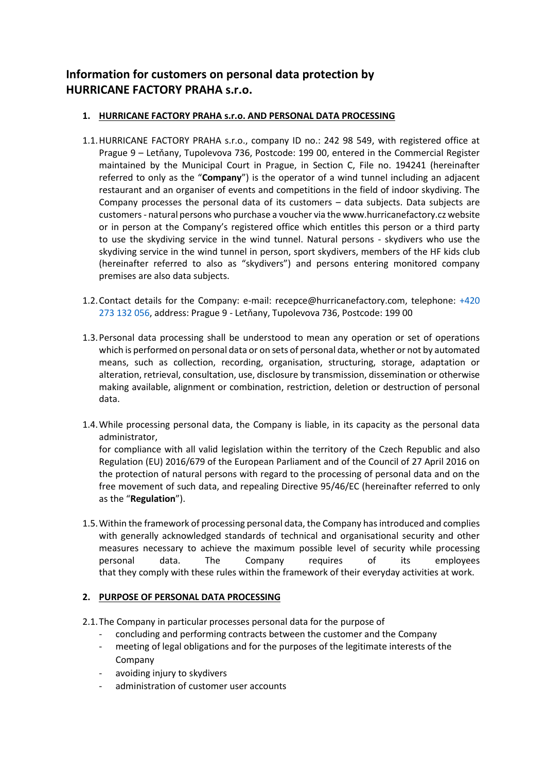# **Information for customers on personal data protection by HURRICANE FACTORY PRAHA s.r.o.**

# **1. HURRICANE FACTORY PRAHA s.r.o. AND PERSONAL DATA PROCESSING**

- 1.1.HURRICANE FACTORY PRAHA s.r.o., company ID no.: 242 98 549, with registered office at Prague 9 – Letňany, Tupolevova 736, Postcode: 199 00, entered in the Commercial Register maintained by the Municipal Court in Prague, in Section C, File no. 194241 (hereinafter referred to only as the "**Company**") is the operator of a wind tunnel including an adjacent restaurant and an organiser of events and competitions in the field of indoor skydiving. The Company processes the personal data of its customers – data subjects. Data subjects are customers - natural persons who purchase a voucher via the www.hurricanefactory.cz website or in person at the Company's registered office which entitles this person or a third party to use the skydiving service in the wind tunnel. Natural persons - skydivers who use the skydiving service in the wind tunnel in person, sport skydivers, members of the HF kids club (hereinafter referred to also as "skydivers") and persons entering monitored company premises are also data subjects.
- 1.2.Contact details for the Company: e-mail: recepce@hurricanefactory.com, telephone: [+420](tel:+420%20273%20132%20056)  [273 132](tel:+420%20273%20132%20056) 056, address: Prague 9 - Letňany, Tupolevova 736, Postcode: 199 00
- 1.3.Personal data processing shall be understood to mean any operation or set of operations which is performed on personal data or on sets of personal data, whether or not by automated means, such as collection, recording, organisation, structuring, storage, adaptation or alteration, retrieval, consultation, use, disclosure by transmission, dissemination or otherwise making available, alignment or combination, restriction, deletion or destruction of personal data.
- 1.4.While processing personal data, the Company is liable, in its capacity as the personal data administrator,

for compliance with all valid legislation within the territory of the Czech Republic and also Regulation (EU) 2016/679 of the European Parliament and of the Council of 27 April 2016 on the protection of natural persons with regard to the processing of personal data and on the free movement of such data, and repealing Directive 95/46/EC (hereinafter referred to only as the "**Regulation**").

1.5.Within the framework of processing personal data, the Company has introduced and complies with generally acknowledged standards of technical and organisational security and other measures necessary to achieve the maximum possible level of security while processing personal data. The Company requires of its employees that they comply with these rules within the framework of their everyday activities at work.

# **2. PURPOSE OF PERSONAL DATA PROCESSING**

- 2.1.The Company in particular processes personal data for the purpose of
	- concluding and performing contracts between the customer and the Company
	- meeting of legal obligations and for the purposes of the legitimate interests of the Company
	- avoiding injury to skydivers
	- administration of customer user accounts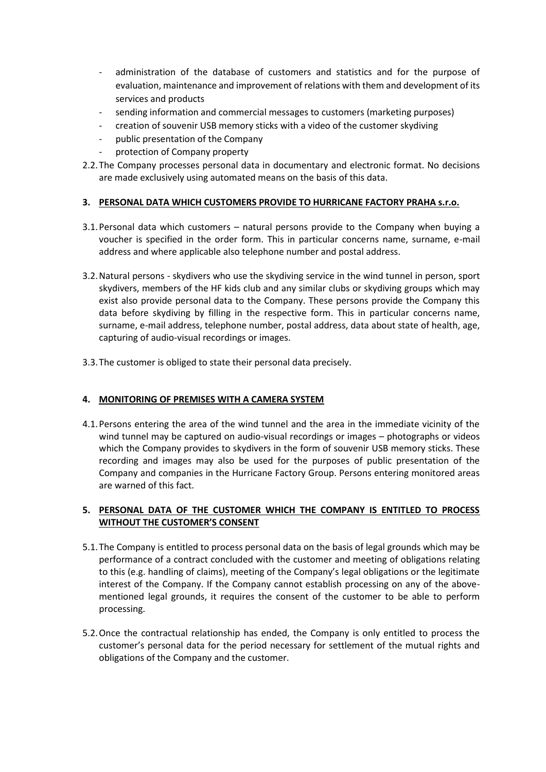- administration of the database of customers and statistics and for the purpose of evaluation, maintenance and improvement of relations with them and development of its services and products
- sending information and commercial messages to customers (marketing purposes)
- creation of souvenir USB memory sticks with a video of the customer skydiving
- public presentation of the Company
- protection of Company property
- 2.2.The Company processes personal data in documentary and electronic format. No decisions are made exclusively using automated means on the basis of this data.

# **3. PERSONAL DATA WHICH CUSTOMERS PROVIDE TO HURRICANE FACTORY PRAHA s.r.o.**

- 3.1.Personal data which customers natural persons provide to the Company when buying a voucher is specified in the order form. This in particular concerns name, surname, e-mail address and where applicable also telephone number and postal address.
- 3.2.Natural persons skydivers who use the skydiving service in the wind tunnel in person, sport skydivers, members of the HF kids club and any similar clubs or skydiving groups which may exist also provide personal data to the Company. These persons provide the Company this data before skydiving by filling in the respective form. This in particular concerns name, surname, e-mail address, telephone number, postal address, data about state of health, age, capturing of audio-visual recordings or images.
- 3.3.The customer is obliged to state their personal data precisely.

# **4. MONITORING OF PREMISES WITH A CAMERA SYSTEM**

4.1.Persons entering the area of the wind tunnel and the area in the immediate vicinity of the wind tunnel may be captured on audio-visual recordings or images – photographs or videos which the Company provides to skydivers in the form of souvenir USB memory sticks. These recording and images may also be used for the purposes of public presentation of the Company and companies in the Hurricane Factory Group. Persons entering monitored areas are warned of this fact.

#### **5. PERSONAL DATA OF THE CUSTOMER WHICH THE COMPANY IS ENTITLED TO PROCESS WITHOUT THE CUSTOMER'S CONSENT**

- 5.1.The Company is entitled to process personal data on the basis of legal grounds which may be performance of a contract concluded with the customer and meeting of obligations relating to this (e.g. handling of claims), meeting of the Company's legal obligations or the legitimate interest of the Company. If the Company cannot establish processing on any of the abovementioned legal grounds, it requires the consent of the customer to be able to perform processing.
- 5.2.Once the contractual relationship has ended, the Company is only entitled to process the customer's personal data for the period necessary for settlement of the mutual rights and obligations of the Company and the customer.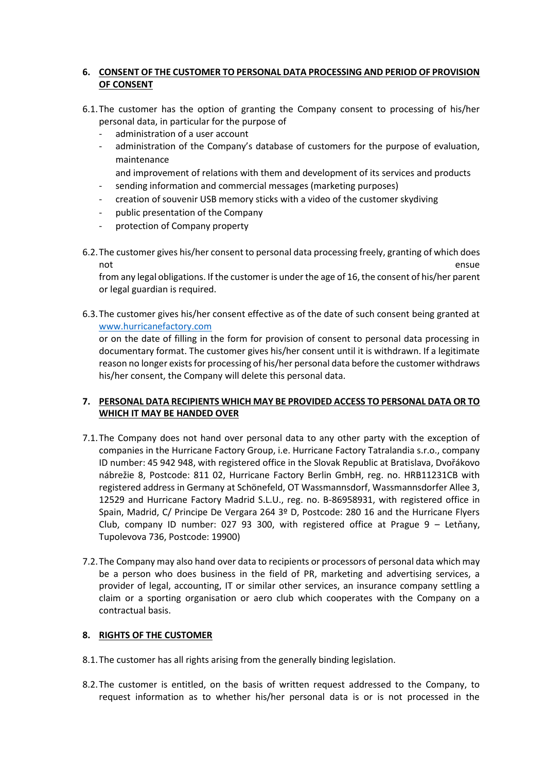#### **6. CONSENT OF THE CUSTOMER TO PERSONAL DATA PROCESSING AND PERIOD OF PROVISION OF CONSENT**

- 6.1.The customer has the option of granting the Company consent to processing of his/her personal data, in particular for the purpose of
	- administration of a user account
	- administration of the Company's database of customers for the purpose of evaluation, maintenance
		- and improvement of relations with them and development of its services and products
	- sending information and commercial messages (marketing purposes)
	- creation of souvenir USB memory sticks with a video of the customer skydiving
	- public presentation of the Company
	- protection of Company property
- 6.2.The customer gives his/her consent to personal data processing freely, granting of which does not ensue ensue en contra la contra la contra la contra la contra la contra la contra la contra la contra la c

from any legal obligations. If the customer is under the age of 16, the consent of his/her parent or legal guardian is required.

6.3.The customer gives his/her consent effective as of the date of such consent being granted at [www.hurricanefactory.com](http://www.hurricanefactory.com/) 

or on the date of filling in the form for provision of consent to personal data processing in documentary format. The customer gives his/her consent until it is withdrawn. If a legitimate reason no longer exists for processing of his/her personal data before the customer withdraws his/her consent, the Company will delete this personal data.

#### **7. PERSONAL DATA RECIPIENTS WHICH MAY BE PROVIDED ACCESS TO PERSONAL DATA OR TO WHICH IT MAY BE HANDED OVER**

- 7.1.The Company does not hand over personal data to any other party with the exception of companies in the Hurricane Factory Group, i.e. Hurricane Factory Tatralandia s.r.o., company ID number: 45 942 948, with registered office in the Slovak Republic at Bratislava, Dvořákovo nábrežie 8, Postcode: 811 02, Hurricane Factory Berlin GmbH, reg. no. HRB11231CB with registered address in Germany at Schönefeld, OT Wassmannsdorf, Wassmannsdorfer Allee 3, 12529 and Hurricane Factory Madrid S.L.U., reg. no. B-86958931, with registered office in Spain, Madrid, C/ Principe De Vergara 264 3º D, Postcode: 280 16 and the Hurricane Flyers Club, company ID number: 027 93 300, with registered office at Prague 9 – Letňany, Tupolevova 736, Postcode: 19900)
- 7.2.The Company may also hand over data to recipients or processors of personal data which may be a person who does business in the field of PR, marketing and advertising services, a provider of legal, accounting, IT or similar other services, an insurance company settling a claim or a sporting organisation or aero club which cooperates with the Company on a contractual basis.

#### **8. RIGHTS OF THE CUSTOMER**

- 8.1.The customer has all rights arising from the generally binding legislation.
- 8.2.The customer is entitled, on the basis of written request addressed to the Company, to request information as to whether his/her personal data is or is not processed in the